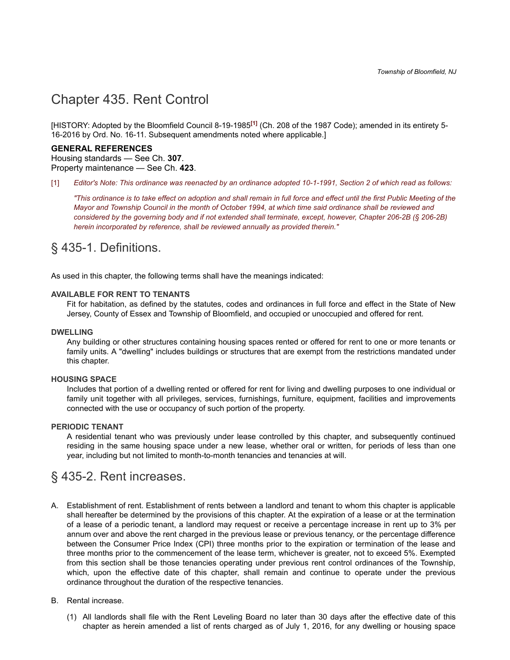# <span id="page-0-1"></span>[Chapter 435. Rent Control](#page-0-1)

[HISTORY: Adopted by the Bloomfield Council 8-19-1985**[\[1\]](#page-0-2)** (Ch. 208 of the 1987 Code); amended in its entirety 5- 16-2016 by Ord. No. 16-11. Subsequent amendments noted where applicable.]

#### **GENERAL REFERENCES**

Housing standards — See Ch. **[307](https://www.ecode360.com/print/11765743#11765743)**. Property maintenance — See Ch. **[423](https://www.ecode360.com/print/11765762#11765762)**.

<span id="page-0-2"></span>[\[1\]](#page-0-0) *Editor's Note: This ordinance was reenacted by an ordinance adopted 10-1-1991, Section 2 of which read as follows:*

<span id="page-0-0"></span>*"This ordinance is to take effect on adoption and shall remain in full force and effect until the first Public Meeting of the Mayor and Township Council in the month of October 1994, at which time said ordinance shall be reviewed and considered by the governing body and if not extended shall terminate, except, however, Chapter 206-2B (§ 206-2B) herein incorporated by reference, shall be reviewed annually as provided therein."*

## <span id="page-0-3"></span>[§ 435-1. Definitions.](#page-0-3)

As used in this chapter, the following terms shall have the meanings indicated:

#### **[AVAILABLE FOR RENT TO TENANTS](https://www.ecode360.com/print/12003612#12003612)**

Fit for habitation, as defined by the statutes, codes and ordinances in full force and effect in the State of New Jersey, County of Essex and Township of Bloomfield, and occupied or unoccupied and offered for rent.

#### **[DWELLING](https://www.ecode360.com/print/12003613#12003613)**

Any building or other structures containing housing spaces rented or offered for rent to one or more tenants or family units. A "dwelling" includes buildings or structures that are exempt from the restrictions mandated under this chapter.

#### **[HOUSING SPACE](https://www.ecode360.com/print/12003618#12003618)**

Includes that portion of a dwelling rented or offered for rent for living and dwelling purposes to one individual or family unit together with all privileges, services, furnishings, furniture, equipment, facilities and improvements connected with the use or occupancy of such portion of the property.

#### **[PERIODIC TENANT](https://www.ecode360.com/print/12003619#12003619)**

A residential tenant who was previously under lease controlled by this chapter, and subsequently continued residing in the same housing space under a new lease, whether oral or written, for periods of less than one year, including but not limited to month-to-month tenancies and tenancies at will.

### <span id="page-0-4"></span>[§ 435-2. Rent increases.](#page-0-4)

- [A.](https://www.ecode360.com/print/12003621#12003621)  Establishment of rent. Establishment of rents between a landlord and tenant to whom this chapter is applicable shall hereafter be determined by the provisions of this chapter. At the expiration of a lease or at the termination of a lease of a periodic tenant, a landlord may request or receive a percentage increase in rent up to 3% per annum over and above the rent charged in the previous lease or previous tenancy, or the percentage difference between the Consumer Price Index (CPI) three months prior to the expiration or termination of the lease and three months prior to the commencement of the lease term, whichever is greater, not to exceed 5%. Exempted from this section shall be those tenancies operating under previous rent control ordinances of the Township, which, upon the effective date of this chapter, shall remain and continue to operate under the previous ordinance throughout the duration of the respective tenancies.
- [B.](https://www.ecode360.com/print/12003622#12003622)  Rental increase.
	- [\(1\)](https://www.ecode360.com/print/31265905#31265905)  All landlords shall file with the Rent Leveling Board no later than 30 days after the effective date of this chapter as herein amended a list of rents charged as of July 1, 2016, for any dwelling or housing space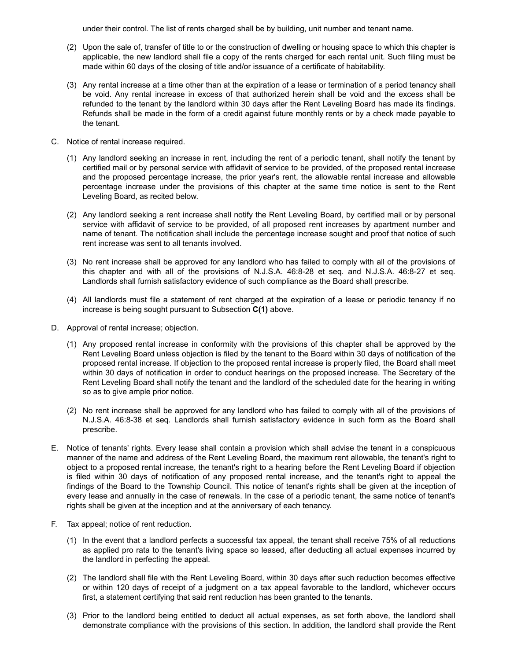under their control. The list of rents charged shall be by building, unit number and tenant name.

- [\(2\)](https://www.ecode360.com/print/31265906#31265906)  Upon the sale of, transfer of title to or the construction of dwelling or housing space to which this chapter is applicable, the new landlord shall file a copy of the rents charged for each rental unit. Such filing must be made within 60 days of the closing of title and/or issuance of a certificate of habitability.
- [\(3\)](https://www.ecode360.com/print/31265907#31265907)  Any rental increase at a time other than at the expiration of a lease or termination of a period tenancy shall be void. Any rental increase in excess of that authorized herein shall be void and the excess shall be refunded to the tenant by the landlord within 30 days after the Rent Leveling Board has made its findings. Refunds shall be made in the form of a credit against future monthly rents or by a check made payable to the tenant.
- [C.](https://www.ecode360.com/print/12003623#12003623)  Notice of rental increase required.
	- [\(1\)](https://www.ecode360.com/print/31265908#31265908)  Any landlord seeking an increase in rent, including the rent of a periodic tenant, shall notify the tenant by certified mail or by personal service with affidavit of service to be provided, of the proposed rental increase and the proposed percentage increase, the prior year's rent, the allowable rental increase and allowable percentage increase under the provisions of this chapter at the same time notice is sent to the Rent Leveling Board, as recited below.
	- [\(2\)](https://www.ecode360.com/print/31265909#31265909)  Any landlord seeking a rent increase shall notify the Rent Leveling Board, by certified mail or by personal service with affidavit of service to be provided, of all proposed rent increases by apartment number and name of tenant. The notification shall include the percentage increase sought and proof that notice of such rent increase was sent to all tenants involved.
	- [\(3\)](https://www.ecode360.com/print/31265910#31265910)  No rent increase shall be approved for any landlord who has failed to comply with all of the provisions of this chapter and with all of the provisions of N.J.S.A. 46:8-28 et seq. and N.J.S.A. 46:8-27 et seq. Landlords shall furnish satisfactory evidence of such compliance as the Board shall prescribe.
	- [\(4\)](https://www.ecode360.com/print/31265911#31265911)  All landlords must file a statement of rent charged at the expiration of a lease or periodic tenancy if no increase is being sought pursuant to Subsection **[C\(1\)](https://www.ecode360.com/print/31265908#31265908)** above.
- [D.](https://www.ecode360.com/print/12003624#12003624)  Approval of rental increase; objection.
	- [\(1\)](https://www.ecode360.com/print/31265912#31265912)  Any proposed rental increase in conformity with the provisions of this chapter shall be approved by the Rent Leveling Board unless objection is filed by the tenant to the Board within 30 days of notification of the proposed rental increase. If objection to the proposed rental increase is properly filed, the Board shall meet within 30 days of notification in order to conduct hearings on the proposed increase. The Secretary of the Rent Leveling Board shall notify the tenant and the landlord of the scheduled date for the hearing in writing so as to give ample prior notice.
	- [\(2\)](https://www.ecode360.com/print/31265913#31265913)  No rent increase shall be approved for any landlord who has failed to comply with all of the provisions of N.J.S.A. 46:8-38 et seq. Landlords shall furnish satisfactory evidence in such form as the Board shall prescribe.
- [E.](https://www.ecode360.com/print/31265914#31265914)  Notice of tenants' rights. Every lease shall contain a provision which shall advise the tenant in a conspicuous manner of the name and address of the Rent Leveling Board, the maximum rent allowable, the tenant's right to object to a proposed rental increase, the tenant's right to a hearing before the Rent Leveling Board if objection is filed within 30 days of notification of any proposed rental increase, and the tenant's right to appeal the findings of the Board to the Township Council. This notice of tenant's rights shall be given at the inception of every lease and annually in the case of renewals. In the case of a periodic tenant, the same notice of tenant's rights shall be given at the inception and at the anniversary of each tenancy.
- [F.](https://www.ecode360.com/print/31265915#31265915)  Tax appeal; notice of rent reduction.
	- [\(1\)](https://www.ecode360.com/print/31265916#31265916)  In the event that a landlord perfects a successful tax appeal, the tenant shall receive 75% of all reductions as applied pro rata to the tenant's living space so leased, after deducting all actual expenses incurred by the landlord in perfecting the appeal.
	- [\(2\)](https://www.ecode360.com/print/31265917#31265917)  The landlord shall file with the Rent Leveling Board, within 30 days after such reduction becomes effective or within 120 days of receipt of a judgment on a tax appeal favorable to the landlord, whichever occurs first, a statement certifying that said rent reduction has been granted to the tenants.
	- [\(3\)](https://www.ecode360.com/print/31265918#31265918)  Prior to the landlord being entitled to deduct all actual expenses, as set forth above, the landlord shall demonstrate compliance with the provisions of this section. In addition, the landlord shall provide the Rent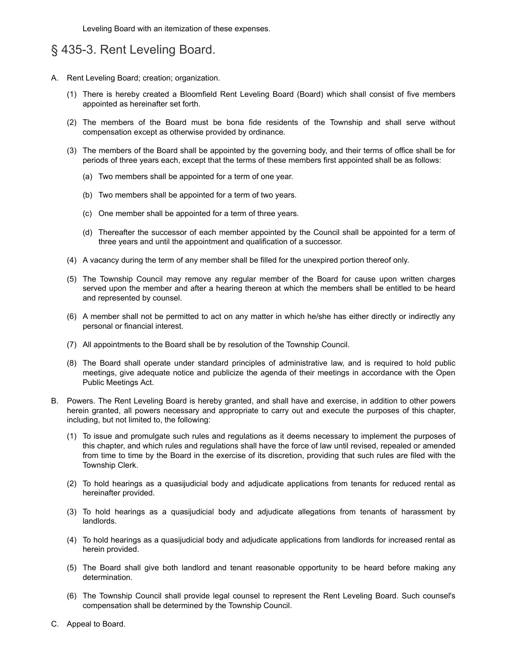Leveling Board with an itemization of these expenses.

# <span id="page-2-0"></span>[§ 435-3. Rent Leveling Board.](#page-2-0)

- [A.](https://www.ecode360.com/print/31265919#31265919)  Rent Leveling Board; creation; organization.
	- [\(1\)](https://www.ecode360.com/print/31265920#31265920)  There is hereby created a Bloomfield Rent Leveling Board (Board) which shall consist of five members appointed as hereinafter set forth.
	- [\(2\)](https://www.ecode360.com/print/31265921#31265921)  The members of the Board must be bona fide residents of the Township and shall serve without compensation except as otherwise provided by ordinance.
	- [\(3\)](https://www.ecode360.com/print/31265922#31265922)  The members of the Board shall be appointed by the governing body, and their terms of office shall be for periods of three years each, except that the terms of these members first appointed shall be as follows:
		- [\(a\)](https://www.ecode360.com/print/31265923#31265923)  Two members shall be appointed for a term of one year.
		- [\(b\)](https://www.ecode360.com/print/31265924#31265924)  Two members shall be appointed for a term of two years.
		- [\(c\)](https://www.ecode360.com/print/31265925#31265925)  One member shall be appointed for a term of three years.
		- [\(d\)](https://www.ecode360.com/print/31265926#31265926)  Thereafter the successor of each member appointed by the Council shall be appointed for a term of three years and until the appointment and qualification of a successor.
	- [\(4\)](https://www.ecode360.com/print/31265927#31265927)  A vacancy during the term of any member shall be filled for the unexpired portion thereof only.
	- [\(5\)](https://www.ecode360.com/print/31265928#31265928)  The Township Council may remove any regular member of the Board for cause upon written charges served upon the member and after a hearing thereon at which the members shall be entitled to be heard and represented by counsel.
	- [\(6\)](https://www.ecode360.com/print/31265929#31265929)  A member shall not be permitted to act on any matter in which he/she has either directly or indirectly any personal or financial interest.
	- [\(7\)](https://www.ecode360.com/print/31265930#31265930)  All appointments to the Board shall be by resolution of the Township Council.
	- [\(8\)](https://www.ecode360.com/print/31265931#31265931)  The Board shall operate under standard principles of administrative law, and is required to hold public meetings, give adequate notice and publicize the agenda of their meetings in accordance with the Open Public Meetings Act.
- [B.](https://www.ecode360.com/print/31265932#31265932)  Powers. The Rent Leveling Board is hereby granted, and shall have and exercise, in addition to other powers herein granted, all powers necessary and appropriate to carry out and execute the purposes of this chapter, including, but not limited to, the following:
	- [\(1\)](https://www.ecode360.com/print/31265933#31265933)  To issue and promulgate such rules and regulations as it deems necessary to implement the purposes of this chapter, and which rules and regulations shall have the force of law until revised, repealed or amended from time to time by the Board in the exercise of its discretion, providing that such rules are filed with the Township Clerk.
	- [\(2\)](https://www.ecode360.com/print/31265934#31265934)  To hold hearings as a quasijudicial body and adjudicate applications from tenants for reduced rental as hereinafter provided.
	- [\(3\)](https://www.ecode360.com/print/31265935#31265935)  To hold hearings as a quasijudicial body and adjudicate allegations from tenants of harassment by landlords.
	- [\(4\)](https://www.ecode360.com/print/31265936#31265936)  To hold hearings as a quasijudicial body and adjudicate applications from landlords for increased rental as herein provided.
	- [\(5\)](https://www.ecode360.com/print/31265937#31265937)  The Board shall give both landlord and tenant reasonable opportunity to be heard before making any determination.
	- [\(6\)](https://www.ecode360.com/print/31265938#31265938)  The Township Council shall provide legal counsel to represent the Rent Leveling Board. Such counsel's compensation shall be determined by the Township Council.
- [C.](https://www.ecode360.com/print/31265939#31265939)  Appeal to Board.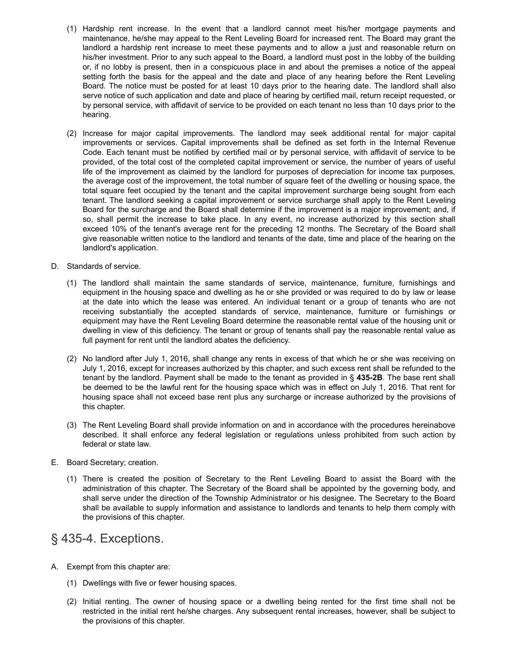- [\(1\)](https://www.ecode360.com/print/31265940#31265940)  Hardship rent increase. In the event that a landlord cannot meet his/her mortgage payments and maintenance, he/she may appeal to the Rent Leveling Board for increased rent. The Board may grant the landlord a hardship rent increase to meet these payments and to allow a just and reasonable return on his/her investment. Prior to any such appeal to the Board, a landlord must post in the lobby of the building or, if no lobby is present, then in a conspicuous place in and about the premises a notice of the appeal setting forth the basis for the appeal and the date and place of any hearing before the Rent Leveling Board. The notice must be posted for at least 10 days prior to the hearing date. The landlord shall also serve notice of such application and date and place of hearing by certified mail, return receipt requested, or by personal service, with affidavit of service to be provided on each tenant no less than 10 days prior to the hearing.
- [\(2\)](https://www.ecode360.com/print/31265941#31265941)  Increase for major capital improvements. The landlord may seek additional rental for major capital improvements or services. Capital improvements shall be defined as set forth in the Internal Revenue Code. Each tenant must be notified by certified mail or by personal service, with affidavit of service to be provided, of the total cost of the completed capital improvement or service, the number of years of useful life of the improvement as claimed by the landlord for purposes of depreciation for income tax purposes, the average cost of the improvement, the total number of square feet of the dwelling or housing space, the total square feet occupied by the tenant and the capital improvement surcharge being sought from each tenant. The landlord seeking a capital improvement or service surcharge shall apply to the Rent Leveling Board for the surcharge and the Board shall determine if the improvement is a major improvement; and, if so, shall permit the increase to take place. In any event, no increase authorized by this section shall exceed 10% of the tenant's average rent for the preceding 12 months. The Secretary of the Board shall give reasonable written notice to the landlord and tenants of the date, time and place of the hearing on the landlord's application.
- [D.](https://www.ecode360.com/print/31265942#31265942)  Standards of service.
	- [\(1\)](https://www.ecode360.com/print/31265943#31265943)  The landlord shall maintain the same standards of service, maintenance, furniture, furnishings and equipment in the housing space and dwelling as he or she provided or was required to do by law or lease at the date into which the lease was entered. An individual tenant or a group of tenants who are not receiving substantially the accepted standards of service, maintenance, furniture or furnishings or equipment may have the Rent Leveling Board determine the reasonable rental value of the housing unit or dwelling in view of this deficiency. The tenant or group of tenants shall pay the reasonable rental value as full payment for rent until the landlord abates the deficiency.
	- [\(2\)](https://www.ecode360.com/print/31265944#31265944)  No landlord after July 1, 2016, shall change any rents in excess of that which he or she was receiving on July 1, 2016, except for increases authorized by this chapter, and such excess rent shall be refunded to the tenant by the landlord. Payment shall be made to the tenant as provided in § **[435-2B](https://www.ecode360.com/print/12003622#12003622)**. The base rent shall be deemed to be the lawful rent for the housing space which was in effect on July 1, 2016. That rent for housing space shall not exceed base rent plus any surcharge or increase authorized by the provisions of this chapter.
	- [\(3\)](https://www.ecode360.com/print/31265945#31265945)  The Rent Leveling Board shall provide information on and in accordance with the procedures hereinabove described. It shall enforce any federal legislation or regulations unless prohibited from such action by federal or state law.
- [E.](https://www.ecode360.com/print/31265946#31265946)  Board Secretary; creation.
	- [\(1\)](https://www.ecode360.com/print/31265947#31265947)  There is created the position of Secretary to the Rent Leveling Board to assist the Board with the administration of this chapter. The Secretary of the Board shall be appointed by the governing body, and shall serve under the direction of the Township Administrator or his designee. The Secretary to the Board shall be available to supply information and assistance to landlords and tenants to help them comply with the provisions of this chapter.

### <span id="page-3-0"></span>[§ 435-4. Exceptions.](#page-3-0)

- [A.](https://www.ecode360.com/print/12003627#12003627)  Exempt from this chapter are:
	- [\(1\)](https://www.ecode360.com/print/31265948#31265948)  Dwellings with five or fewer housing spaces.
	- [\(2\)](https://www.ecode360.com/print/31265949#31265949)  Initial renting. The owner of housing space or a dwelling being rented for the first time shall not be restricted in the initial rent he/she charges. Any subsequent rental increases, however, shall be subject to the provisions of this chapter.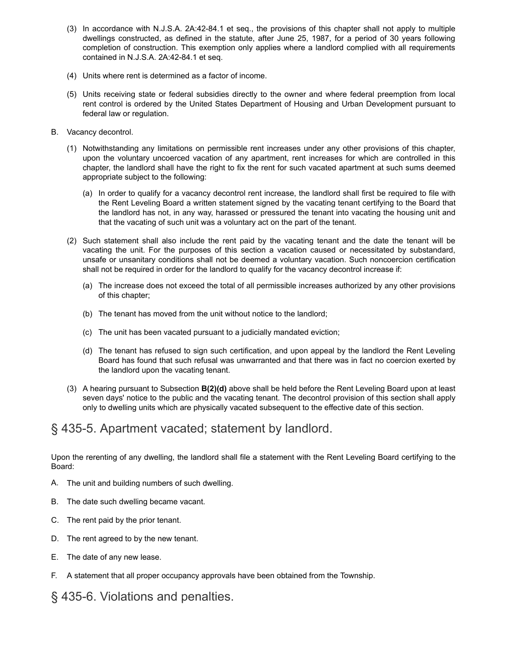- [\(3\)](https://www.ecode360.com/print/31265950#31265950)  In accordance with N.J.S.A. 2A:42-84.1 et seq., the provisions of this chapter shall not apply to multiple dwellings constructed, as defined in the statute, after June 25, 1987, for a period of 30 years following completion of construction. This exemption only applies where a landlord complied with all requirements contained in N.J.S.A. 2A:42-84.1 et seq.
- [\(4\)](https://www.ecode360.com/print/31265951#31265951)  Units where rent is determined as a factor of income.
- [\(5\)](https://www.ecode360.com/print/31265952#31265952)  Units receiving state or federal subsidies directly to the owner and where federal preemption from local rent control is ordered by the United States Department of Housing and Urban Development pursuant to federal law or regulation.
- [B.](https://www.ecode360.com/print/12003628#12003628)  Vacancy decontrol.
	- [\(1\)](https://www.ecode360.com/print/31265953#31265953)  Notwithstanding any limitations on permissible rent increases under any other provisions of this chapter, upon the voluntary uncoerced vacation of any apartment, rent increases for which are controlled in this chapter, the landlord shall have the right to fix the rent for such vacated apartment at such sums deemed appropriate subject to the following:
		- [\(a\)](https://www.ecode360.com/print/31265954#31265954)  In order to qualify for a vacancy decontrol rent increase, the landlord shall first be required to file with the Rent Leveling Board a written statement signed by the vacating tenant certifying to the Board that the landlord has not, in any way, harassed or pressured the tenant into vacating the housing unit and that the vacating of such unit was a voluntary act on the part of the tenant.
	- [\(2\)](https://www.ecode360.com/print/31265955#31265955)  Such statement shall also include the rent paid by the vacating tenant and the date the tenant will be vacating the unit. For the purposes of this section a vacation caused or necessitated by substandard, unsafe or unsanitary conditions shall not be deemed a voluntary vacation. Such noncoercion certification shall not be required in order for the landlord to qualify for the vacancy decontrol increase if:
		- [\(a\)](https://www.ecode360.com/print/31265956#31265956)  The increase does not exceed the total of all permissible increases authorized by any other provisions of this chapter;
		- [\(b\)](https://www.ecode360.com/print/31265957#31265957)  The tenant has moved from the unit without notice to the landlord;
		- [\(c\)](https://www.ecode360.com/print/31265958#31265958)  The unit has been vacated pursuant to a judicially mandated eviction;
		- [\(d\)](https://www.ecode360.com/print/31265959#31265959)  The tenant has refused to sign such certification, and upon appeal by the landlord the Rent Leveling Board has found that such refusal was unwarranted and that there was in fact no coercion exerted by the landlord upon the vacating tenant.
	- [\(3\)](https://www.ecode360.com/print/31265960#31265960)  A hearing pursuant to Subsection **[B\(2\)\(d\)](https://www.ecode360.com/print/31265959#31265959)** above shall be held before the Rent Leveling Board upon at least seven days' notice to the public and the vacating tenant. The decontrol provision of this section shall apply only to dwelling units which are physically vacated subsequent to the effective date of this section.

## <span id="page-4-0"></span>[§ 435-5. Apartment vacated; statement by landlord.](#page-4-0)

Upon the rerenting of any dwelling, the landlord shall file a statement with the Rent Leveling Board certifying to the Board:

- [A.](https://www.ecode360.com/print/31265961#31265961)  The unit and building numbers of such dwelling.
- [B.](https://www.ecode360.com/print/31265962#31265962)  The date such dwelling became vacant.
- [C.](https://www.ecode360.com/print/31265963#31265963)  The rent paid by the prior tenant.
- [D.](https://www.ecode360.com/print/31265964#31265964)  The rent agreed to by the new tenant.
- [E.](https://www.ecode360.com/print/31265965#31265965)  The date of any new lease.
- [F.](https://www.ecode360.com/print/31265966#31265966)  A statement that all proper occupancy approvals have been obtained from the Township.

<span id="page-4-1"></span>[§ 435-6. Violations and penalties.](#page-4-1)